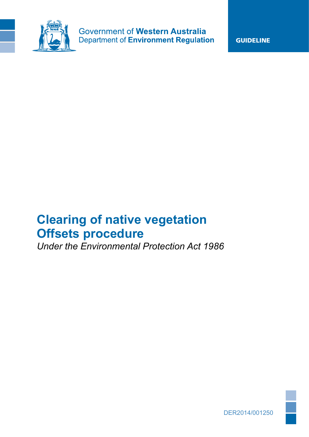

GUIDELINE

# **Clearing of native vegetation Offsets procedure**

*Under the Environmental Protection Act 1986*

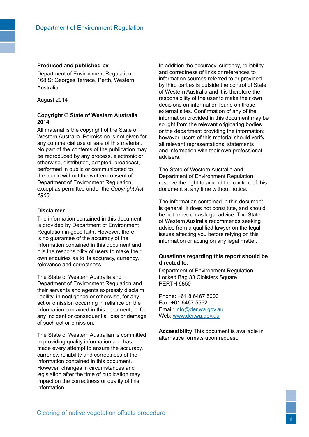#### **Produced and published by**

Department of Environment Regulation 168 St Georges Terrace, Perth, Western Australia

August 2014

#### **Copyright © State of Western Australia 2014**

All material is the copyright of the State of Western Australia. Permission is not given for any commercial use or sale of this material. No part of the contents of the publication may be reproduced by any process, electronic or otherwise, distributed, adapted, broadcast, performed in public or communicated to the public without the written consent of Department of Environment Regulation, except as permitted under the *Copyright Act 1968*.

#### **Disclaimer**

The information contained in this document is provided by Department of Environment Regulation in good faith. However, there is no guarantee of the accuracy of the information contained in this document and it is the responsibility of users to make their own enquiries as to its accuracy, currency, relevance and correctness.

The State of Western Australia and Department of Environment Regulation and their servants and agents expressly disclaim liability, in negligence or otherwise, for any act or omission occurring in reliance on the information contained in this document, or for any incident or consequential loss or damage of such act or omission.

The State of Western Australian is committed to providing quality information and has made every attempt to ensure the accuracy, currency, reliability and correctness of the information contained in this document. However, changes in circumstances and legislation after the time of publication may impact on the correctness or quality of this information.

In addition the accuracy, currency, reliability and correctness of links or references to information sources referred to or provided by third parties is outside the control of State of Western Australia and it is therefore the responsibility of the user to make their own decisions on information found on those external sites. Confirmation of any of the information provided in this document may be sought from the relevant originating bodies or the department providing the information; however, users of this material should verify all relevant representations, statements and information with their own professional advisers.

The State of Western Australia and Department of Environment Regulation reserve the right to amend the content of this document at any time without notice.

The information contained in this document is general. It does not constitute, and should be not relied on as legal advice. The State of Western Australia recommends seeking advice from a qualified lawyer on the legal issues affecting you before relying on this information or acting on any legal matter.

#### **Questions regarding this report should be directed to:**

Department of Environment Regulation Locked Bag 33 Cloisters Square PERTH 6850

Phone: +61 8 6467 5000 Fax: +61 6467 5562 Email: [info@der.wa.gov.au](mailto:info%40der.wa.gov.au?subject=) Web:<www.der.wa.gov.au>

**Accessibility** This document is available in alternative formats upon request.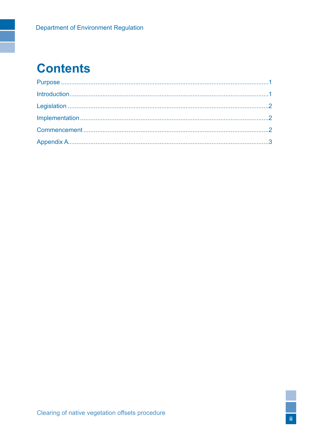# **Contents**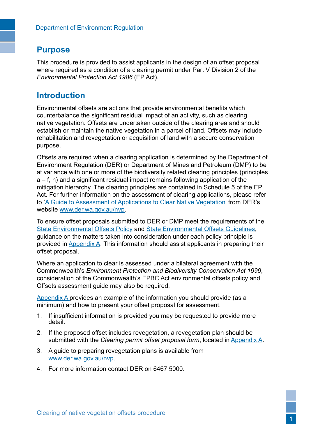### <span id="page-3-0"></span>**Purpose**

This procedure is provided to assist applicants in the design of an offset proposal where required as a condition of a clearing permit under Part V Division 2 of the *Environmental Protection Act 1986* (EP Act).

## **Introduction**

Environmental offsets are actions that provide environmental benefits which counterbalance the significant residual impact of an activity, such as clearing native vegetation. Offsets are undertaken outside of the clearing area and should establish or maintain the native vegetation in a parcel of land. Offsets may include rehabilitation and revegetation or acquisition of land with a secure conservation purpose.

Offsets are required when a clearing application is determined by the Department of Environment Regulation (DER) or Department of Mines and Petroleum (DMP) to be at variance with one or more of the biodiversity related clearing principles (principles a – f, h) and a significant residual impact remains following application of the mitigation hierarchy. The clearing principles are contained in Schedule 5 of the EP Act. For further information on the assessment of clearing applications, please refer to '[A Guide to Assessment of Applications to Clear Native Vegetation](http://www.der.wa.gov.au/your-environment/native-vegetation/48-guidelines-related-to-native-vegetation-protection)' from DER's website <www.der.wa.gov.au/nvp>.

To ensure offset proposals submitted to DER or DMP meet the requirements of the [State Environmental Offsets Policy](http://www.der.wa.gov.au/your-environment/offsets) and [State Environmental Offsets Guidelines](http://www.der.wa.gov.au/your-environment/offsets), guidance on the matters taken into consideration under each policy principle is provided in [Appendix A.](#page-5-1) This information should assist applicants in preparing their offset proposal.

Where an application to clear is assessed under a bilateral agreement with the Commonwealth's *Environment Protection and Biodiversity Conservation Act 1999*, consideration of the Commonwealth's EPBC Act environmental offsets policy and Offsets assessment guide may also be required.

[Appendix A](#page-5-1) provides an example of the information you should provide (as a minimum) and how to present your offset proposal for assessment.

- 1. If insufficient information is provided you may be requested to provide more detail.
- 2. If the proposed offset includes revegetation, a revegetation plan should be submitted with the *Clearing permit offset proposal form*, located in [Appendix A.](#page-5-1)
- 3. A guide to preparing revegetation plans is available from [www.der.wa.gov.au/nvp.](http://www.der.wa.gov.au/your-environment/native-vegetation)
- 4. For more information contact DER on 6467 5000.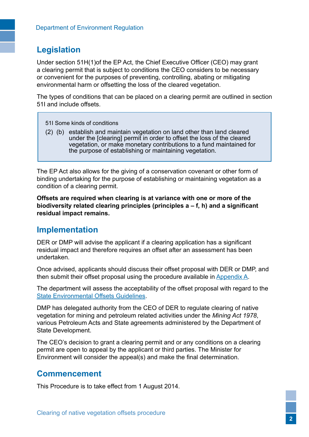## <span id="page-4-0"></span>**Legislation**

Under section 51H(1)of the EP Act, the Chief Executive Officer (CEO) may grant a clearing permit that is subject to conditions the CEO considers to be necessary or convenient for the purposes of preventing, controlling, abating or mitigating environmental harm or offsetting the loss of the cleared vegetation.

The types of conditions that can be placed on a clearing permit are outlined in section 51I and include offsets.

- 51I Some kinds of conditions
- (2) (b) establish and maintain vegetation on land other than land cleared under the [clearing] permit in order to offset the loss of the cleared vegetation, or make monetary contributions to a fund maintained for the purpose of establishing or maintaining vegetation.

The EP Act also allows for the giving of a conservation covenant or other form of binding undertaking for the purpose of establishing or maintaining vegetation as a condition of a clearing permit.

**Offsets are required when clearing is at variance with one or more of the biodiversity related clearing principles (principles a – f, h) and a significant residual impact remains.**

## **Implementation**

DER or DMP will advise the applicant if a clearing application has a significant residual impact and therefore requires an offset after an assessment has been undertaken.

Once advised, applicants should discuss their offset proposal with DER or DMP, and then submit their offset proposal using the procedure available in [Appendix A.](#page-5-1)

The department will assess the acceptability of the offset proposal with regard to the [State Environmental Offsets Guidelines](http://www.der.wa.gov.au/your-environment/offsets).

DMP has delegated authority from the CEO of DER to regulate clearing of native vegetation for mining and petroleum related activities under the *Mining Act 1978*, various Petroleum Acts and State agreements administered by the Department of State Development.

The CEO's decision to grant a clearing permit and or any conditions on a clearing permit are open to appeal by the applicant or third parties. The Minister for Environment will consider the appeal(s) and make the final determination.

## **Commencement**

This Procedure is to take effect from 1 August 2014.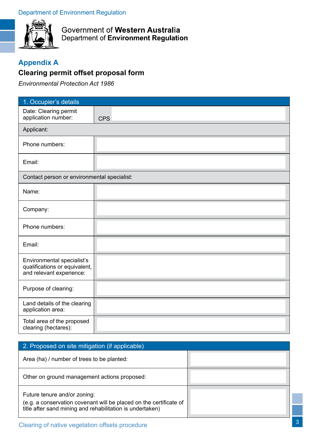<span id="page-5-0"></span>

Government of Western Australia Department of Environment Regulation

## <span id="page-5-1"></span>**Appendix A**

## **Clearing permit offset proposal form**

*Environmental Protection Act 1986* 

| 1. Occupier's details                                                                   |            |
|-----------------------------------------------------------------------------------------|------------|
| Date: Clearing permit<br>application number:                                            | <b>CPS</b> |
| Applicant:                                                                              |            |
| Phone numbers:                                                                          |            |
| Email:                                                                                  |            |
| Contact person or environmental specialist:                                             |            |
| Name:                                                                                   |            |
| Company:                                                                                |            |
| Phone numbers:                                                                          |            |
| Email:                                                                                  |            |
| Environmental specialist's<br>qualifications or equivalent,<br>and relevant experience: |            |
| Purpose of clearing:                                                                    |            |
| Land details of the clearing<br>application area:                                       |            |
| Total area of the proposed<br>clearing (hectares):                                      |            |

| 2. Proposed on site mitigation (if applicable)                                                                                                                  |  |
|-----------------------------------------------------------------------------------------------------------------------------------------------------------------|--|
| Area (ha) / number of trees to be planted:                                                                                                                      |  |
| Other on ground management actions proposed:                                                                                                                    |  |
| Future tenure and/or zoning:<br>(e.g. a conservation covenant will be placed on the certificate of<br>title after sand mining and rehabilitation is undertaken) |  |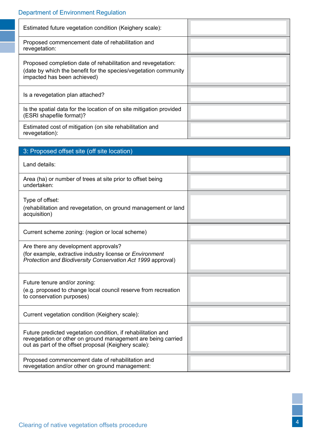# Department of Environment Regulation

| Estimated future vegetation condition (Keighery scale):                                                                                                        |  |
|----------------------------------------------------------------------------------------------------------------------------------------------------------------|--|
| Proposed commencement date of rehabilitation and<br>revegetation:                                                                                              |  |
| Proposed completion date of rehabilitation and revegetation:<br>(date by which the benefit for the species/vegetation community<br>impacted has been achieved) |  |
| Is a revegetation plan attached?                                                                                                                               |  |
| Is the spatial data for the location of on site mitigation provided<br>(ESRI shapefile format)?                                                                |  |
| Estimated cost of mitigation (on site rehabilitation and<br>revegetation):                                                                                     |  |

| 3: Proposed offset site (off site location)                                                                                                                                          |  |  |
|--------------------------------------------------------------------------------------------------------------------------------------------------------------------------------------|--|--|
| Land details:                                                                                                                                                                        |  |  |
| Area (ha) or number of trees at site prior to offset being<br>undertaken:                                                                                                            |  |  |
| Type of offset:<br>(rehabilitation and revegetation, on ground management or land<br>acquisition)                                                                                    |  |  |
| Current scheme zoning: (region or local scheme)                                                                                                                                      |  |  |
| Are there any development approvals?<br>(for example, extractive industry license or Environment<br>Protection and Biodiversity Conservation Act 1999 approval)                      |  |  |
| Future tenure and/or zoning:<br>(e.g. proposed to change local council reserve from recreation<br>to conservation purposes)                                                          |  |  |
| Current vegetation condition (Keighery scale):                                                                                                                                       |  |  |
| Future predicted vegetation condition, if rehabilitation and<br>revegetation or other on ground management are being carried<br>out as part of the offset proposal (Keighery scale): |  |  |
| Proposed commencement date of rehabilitation and<br>revegetation and/or other on ground management:                                                                                  |  |  |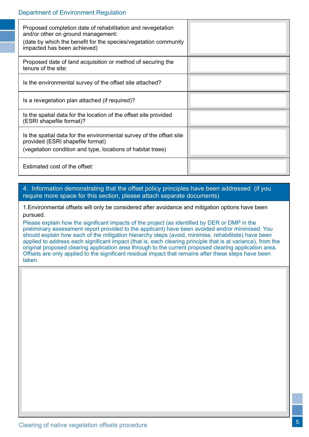| Proposed completion date of rehabilitation and revegetation<br>and/or other on ground management:<br>(date by which the benefit for the species/vegetation community<br>impacted has been achieved) |  |
|-----------------------------------------------------------------------------------------------------------------------------------------------------------------------------------------------------|--|
| Proposed date of land acquisition or method of securing the<br>tenure of the site:                                                                                                                  |  |
| Is the environmental survey of the offset site attached?                                                                                                                                            |  |
| Is a revegetation plan attached (if required)?                                                                                                                                                      |  |
| Is the spatial data for the location of the offset site provided<br>(ESRI shapefile format)?                                                                                                        |  |
| Is the spatial data for the environmental survey of the offset site<br>provided (ESRI shapefile format)<br>(vegetation condition and type, locations of habitat trees)                              |  |
| Estimated cost of the offset:                                                                                                                                                                       |  |

### 4. Information demonstrating that the offset policy principles have been addressed (if you require more space for this section, please attach separate documents)

1.Environmental offsets will only be considered after avoidance and mitigation options have been pursued.

Please explain how the significant impacts of the project (as identified by DER or DMP in the preliminary assessment report provided to the applicant) have been avoided and/or minimised. You should explain how each of the mitigation hierarchy steps (avoid, minimise, rehabilitate) have been applied to address each significant impact (that is, each clearing principle that is at variance), from the original proposed clearing application area through to the current proposed clearing application area. Offsets are only applied to the significant residual impact that remains after these steps have been taken.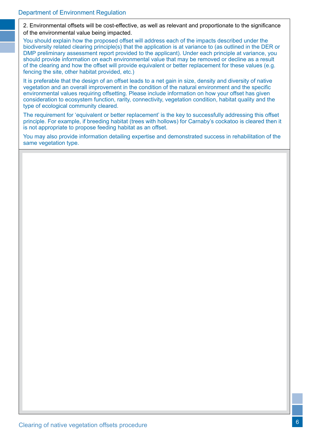2. Environmental offsets will be cost-effective, as well as relevant and proportionate to the significance of the environmental value being impacted.

You should explain how the proposed offset will address each of the impacts described under the biodiversity related clearing principle(s) that the application is at variance to (as outlined in the DER or DMP preliminary assessment report provided to the applicant). Under each principle at variance, you should provide information on each environmental value that may be removed or decline as a result of the clearing and how the offset will provide equivalent or better replacement for these values (e.g. fencing the site, other habitat provided, etc.)

It is preferable that the design of an offset leads to a net gain in size, density and diversity of native vegetation and an overall improvement in the condition of the natural environment and the specific environmental values requiring offsetting. Please include information on how your offset has given consideration to ecosystem function, rarity, connectivity, vegetation condition, habitat quality and the type of ecological community cleared.

The requirement for 'equivalent or better replacement' is the key to successfully addressing this offset principle. For example, if breeding habitat (trees with hollows) for Carnaby's cockatoo is cleared then it is not appropriate to propose feeding habitat as an offset.

You may also provide information detailing expertise and demonstrated success in rehabilitation of the same vegetation type.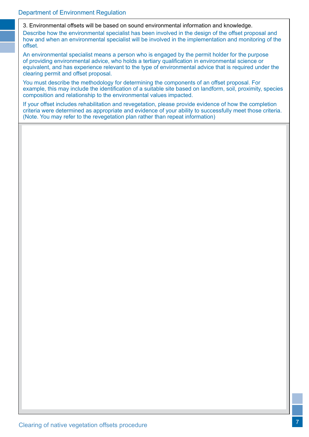3. Environmental offsets will be based on sound environmental information and knowledge. Describe how the environmental specialist has been involved in the design of the offset proposal and how and when an environmental specialist will be involved in the implementation and monitoring of the offset.

An environmental specialist means a person who is engaged by the permit holder for the purpose of providing environmental advice, who holds a tertiary qualification in environmental science or equivalent, and has experience relevant to the type of environmental advice that is required under the clearing permit and offset proposal.

You must describe the methodology for determining the components of an offset proposal. For example, this may include the identification of a suitable site based on landform, soil, proximity, species composition and relationship to the environmental values impacted.

If your offset includes rehabilitation and revegetation, please provide evidence of how the completion criteria were determined as appropriate and evidence of your ability to successfully meet those criteria. (Note. You may refer to the revegetation plan rather than repeat information)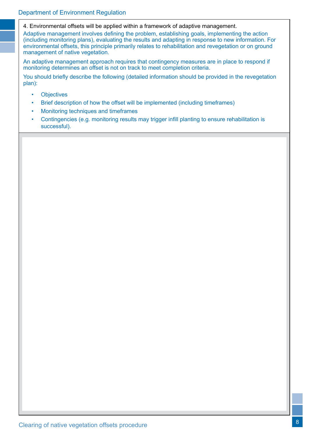4. Environmental offsets will be applied within a framework of adaptive management.

Adaptive management involves defining the problem, establishing goals, implementing the action (including monitoring plans), evaluating the results and adapting in response to new information. For environmental offsets, this principle primarily relates to rehabilitation and revegetation or on ground management of native vegetation.

An adaptive management approach requires that contingency measures are in place to respond if monitoring determines an offset is not on track to meet completion criteria.

You should briefly describe the following (detailed information should be provided in the revegetation plan):

- Objectives
- Brief description of how the offset will be implemented (including timeframes)
- Monitoring techniques and timeframes
- Contingencies (e.g. monitoring results may trigger infill planting to ensure rehabilitation is successful).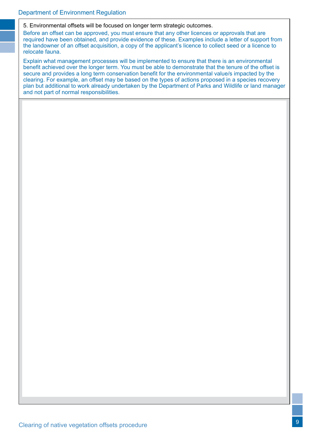#### 5. Environmental offsets will be focused on longer term strategic outcomes.

Before an offset can be approved, you must ensure that any other licences or approvals that are required have been obtained, and provide evidence of these. Examples include a letter of support from the landowner of an offset acquisition, a copy of the applicant's licence to collect seed or a licence to relocate fauna.

Explain what management processes will be implemented to ensure that there is an environmental benefit achieved over the longer term. You must be able to demonstrate that the tenure of the offset is secure and provides a long term conservation benefit for the environmental value/s impacted by the clearing. For example, an offset may be based on the types of actions proposed in a species recovery plan but additional to work already undertaken by the Department of Parks and Wildlife or land manager and not part of normal responsibilities.